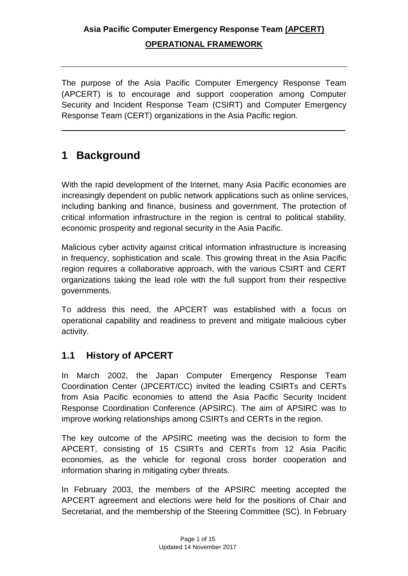The purpose of the Asia Pacific Computer Emergency Response Team (APCERT) is to encourage and support cooperation among Computer Security and Incident Response Team (CSIRT) and Computer Emergency Response Team (CERT) organizations in the Asia Pacific region.

## **1 Background**

With the rapid development of the Internet, many Asia Pacific economies are increasingly dependent on public network applications such as online services, including banking and finance, business and government. The protection of critical information infrastructure in the region is central to political stability, economic prosperity and regional security in the Asia Pacific.

Malicious cyber activity against critical information infrastructure is increasing in frequency, sophistication and scale. This growing threat in the Asia Pacific region requires a collaborative approach, with the various CSIRT and CERT organizations taking the lead role with the full support from their respective governments.

To address this need, the APCERT was established with a focus on operational capability and readiness to prevent and mitigate malicious cyber activity.

### **1.1 History of APCERT**

In March 2002, the Japan Computer Emergency Response Team Coordination Center (JPCERT/CC) invited the leading CSIRTs and CERTs from Asia Pacific economies to attend the Asia Pacific Security Incident Response Coordination Conference (APSIRC). The aim of APSIRC was to improve working relationships among CSIRTs and CERTs in the region.

The key outcome of the APSIRC meeting was the decision to form the APCERT, consisting of 15 CSIRTs and CERTs from 12 Asia Pacific economies, as the vehicle for regional cross border cooperation and information sharing in mitigating cyber threats.

In February 2003, the members of the APSIRC meeting accepted the APCERT agreement and elections were held for the positions of Chair and Secretariat, and the membership of the Steering Committee (SC). In February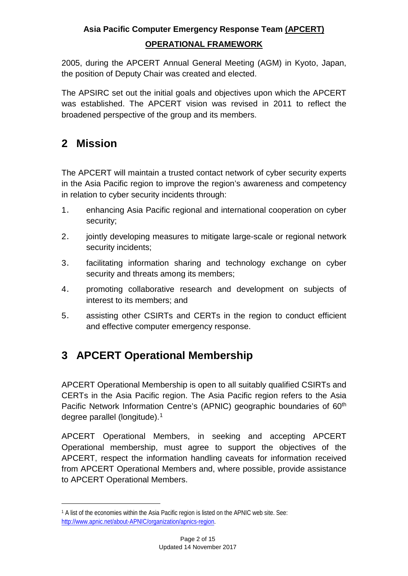2005, during the APCERT Annual General Meeting (AGM) in Kyoto, Japan, the position of Deputy Chair was created and elected.

The APSIRC set out the initial goals and objectives upon which the APCERT was established. The APCERT vision was revised in 2011 to reflect the broadened perspective of the group and its members.

# **2 Mission**

 $\overline{a}$ 

The APCERT will maintain a trusted contact network of cyber security experts in the Asia Pacific region to improve the region's awareness and competency in relation to cyber security incidents through:

- 1. enhancing Asia Pacific regional and international cooperation on cyber security;
- 2. jointly developing measures to mitigate large-scale or regional network security incidents;
- 3. facilitating information sharing and technology exchange on cyber security and threats among its members;
- 4. promoting collaborative research and development on subjects of interest to its members; and
- 5. assisting other CSIRTs and CERTs in the region to conduct efficient and effective computer emergency response.

# **3 APCERT Operational Membership**

APCERT Operational Membership is open to all suitably qualified CSIRTs and CERTs in the Asia Pacific region. The Asia Pacific region refers to the Asia Pacific Network Information Centre's (APNIC) geographic boundaries of 60<sup>th</sup> degree parallel (longitude).[1](#page-1-0)

APCERT Operational Members, in seeking and accepting APCERT Operational membership, must agree to support the objectives of the APCERT, respect the information handling caveats for information received from APCERT Operational Members and, where possible, provide assistance to APCERT Operational Members.

<span id="page-1-0"></span><sup>1</sup> A list of the economies within the Asia Pacific region is listed on the APNIC web site. See: [http://www.apnic.net/about-APNIC/organization/apnics-region.](http://www.apnic.net/about-APNIC/organization/apnics-region)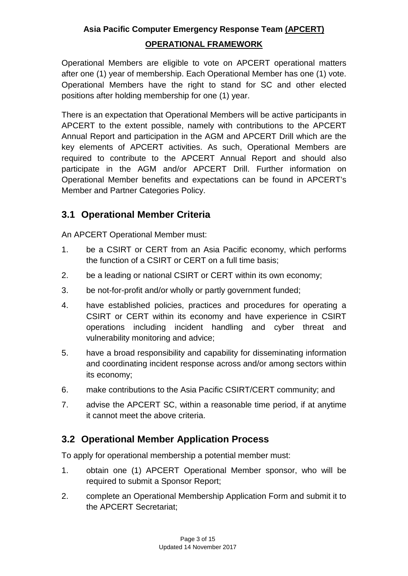#### **Asia Pacific Computer Emergency Response Team (APCERT)**

#### **OPERATIONAL FRAMEWORK**

Operational Members are eligible to vote on APCERT operational matters after one (1) year of membership. Each Operational Member has one (1) vote. Operational Members have the right to stand for SC and other elected positions after holding membership for one (1) year.

There is an expectation that Operational Members will be active participants in APCERT to the extent possible, namely with contributions to the APCERT Annual Report and participation in the AGM and APCERT Drill which are the key elements of APCERT activities. As such, Operational Members are required to contribute to the APCERT Annual Report and should also participate in the AGM and/or APCERT Drill. Further information on Operational Member benefits and expectations can be found in APCERT's Member and Partner Categories Policy.

#### **3.1 Operational Member Criteria**

An APCERT Operational Member must:

- 1. be a CSIRT or CERT from an Asia Pacific economy, which performs the function of a CSIRT or CERT on a full time basis;
- 2. be a leading or national CSIRT or CERT within its own economy;
- 3. be not-for-profit and/or wholly or partly government funded;
- 4. have established policies, practices and procedures for operating a CSIRT or CERT within its economy and have experience in CSIRT operations including incident handling and cyber threat and vulnerability monitoring and advice;
- 5. have a broad responsibility and capability for disseminating information and coordinating incident response across and/or among sectors within its economy;
- 6. make contributions to the Asia Pacific CSIRT/CERT community; and
- 7. advise the APCERT SC, within a reasonable time period, if at anytime it cannot meet the above criteria.

### **3.2 Operational Member Application Process**

To apply for operational membership a potential member must:

- 1. obtain one (1) APCERT Operational Member sponsor, who will be required to submit a Sponsor Report;
- 2. complete an Operational Membership Application Form and submit it to the APCERT Secretariat;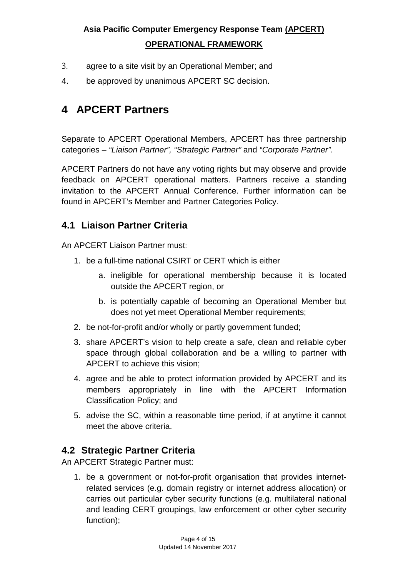- 3. agree to a site visit by an Operational Member; and
- 4. be approved by unanimous APCERT SC decision.

### **4 APCERT Partners**

Separate to APCERT Operational Members, APCERT has three partnership categories – *"Liaison Partner", "Strategic Partner"* and *"Corporate Partner"*.

APCERT Partners do not have any voting rights but may observe and provide feedback on APCERT operational matters. Partners receive a standing invitation to the APCERT Annual Conference. Further information can be found in APCERT's Member and Partner Categories Policy.

#### **4.1 Liaison Partner Criteria**

An APCERT Liaison Partner must:

- 1. be a full-time national CSIRT or CERT which is either
	- a. ineligible for operational membership because it is located outside the APCERT region, or
	- b. is potentially capable of becoming an Operational Member but does not yet meet Operational Member requirements;
- 2. be not-for-profit and/or wholly or partly government funded;
- 3. share APCERT's vision to help create a safe, clean and reliable cyber space through global collaboration and be a willing to partner with APCERT to achieve this vision;
- 4. agree and be able to protect information provided by APCERT and its members appropriately in line with the APCERT Information Classification Policy; and
- 5. advise the SC, within a reasonable time period, if at anytime it cannot meet the above criteria.

#### **4.2 Strategic Partner Criteria**

An APCERT Strategic Partner must:

1. be a government or not-for-profit organisation that provides internetrelated services (e.g. domain registry or internet address allocation) or carries out particular cyber security functions (e.g. multilateral national and leading CERT groupings, law enforcement or other cyber security function);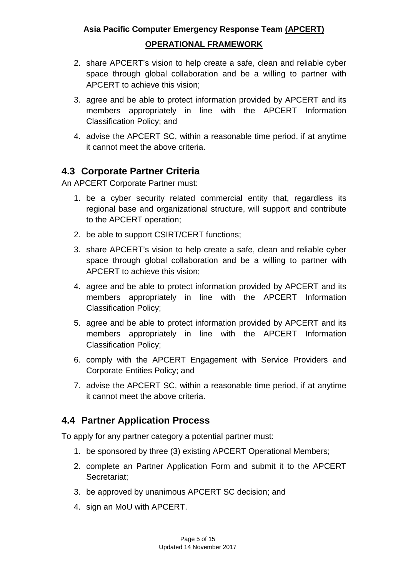## **Asia Pacific Computer Emergency Response Team (APCERT)**

#### **OPERATIONAL FRAMEWORK**

- 2. share APCERT's vision to help create a safe, clean and reliable cyber space through global collaboration and be a willing to partner with APCERT to achieve this vision;
- 3. agree and be able to protect information provided by APCERT and its members appropriately in line with the APCERT Information Classification Policy; and
- 4. advise the APCERT SC, within a reasonable time period, if at anytime it cannot meet the above criteria.

### **4.3 Corporate Partner Criteria**

An APCERT Corporate Partner must:

- 1. be a cyber security related commercial entity that, regardless its regional base and organizational structure, will support and contribute to the APCERT operation;
- 2. be able to support CSIRT/CERT functions;
- 3. share APCERT's vision to help create a safe, clean and reliable cyber space through global collaboration and be a willing to partner with APCERT to achieve this vision;
- 4. agree and be able to protect information provided by APCERT and its members appropriately in line with the APCERT Information Classification Policy;
- 5. agree and be able to protect information provided by APCERT and its members appropriately in line with the APCERT Information Classification Policy;
- 6. comply with the APCERT Engagement with Service Providers and Corporate Entities Policy; and
- 7. advise the APCERT SC, within a reasonable time period, if at anytime it cannot meet the above criteria.

### **4.4 Partner Application Process**

To apply for any partner category a potential partner must:

- 1. be sponsored by three (3) existing APCERT Operational Members;
- 2. complete an Partner Application Form and submit it to the APCERT Secretariat;
- 3. be approved by unanimous APCERT SC decision; and
- 4. sign an MoU with APCERT.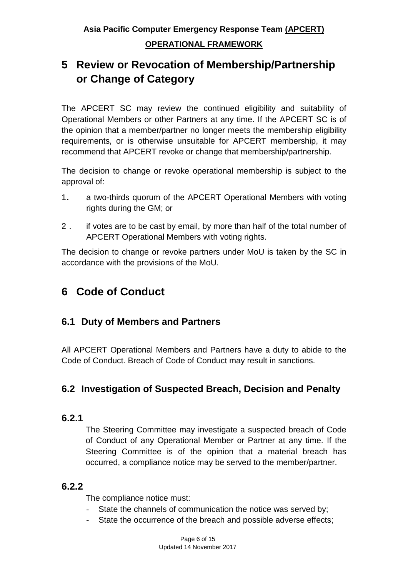# **5 Review or Revocation of Membership/Partnership or Change of Category**

The APCERT SC may review the continued eligibility and suitability of Operational Members or other Partners at any time. If the APCERT SC is of the opinion that a member/partner no longer meets the membership eligibility requirements, or is otherwise unsuitable for APCERT membership, it may recommend that APCERT revoke or change that membership/partnership.

The decision to change or revoke operational membership is subject to the approval of:

- 1. a two-thirds quorum of the APCERT Operational Members with voting rights during the GM; or
- 2. if votes are to be cast by email, by more than half of the total number of APCERT Operational Members with voting rights.

The decision to change or revoke partners under MoU is taken by the SC in accordance with the provisions of the MoU.

# **6 Code of Conduct**

### **6.1 Duty of Members and Partners**

All APCERT Operational Members and Partners have a duty to abide to the Code of Conduct. Breach of Code of Conduct may result in sanctions.

### **6.2 Investigation of Suspected Breach, Decision and Penalty**

#### **6.2.1**

The Steering Committee may investigate a suspected breach of Code of Conduct of any Operational Member or Partner at any time. If the Steering Committee is of the opinion that a material breach has occurred, a compliance notice may be served to the member/partner.

### **6.2.2**

The compliance notice must:

- State the channels of communication the notice was served by;
- State the occurrence of the breach and possible adverse effects;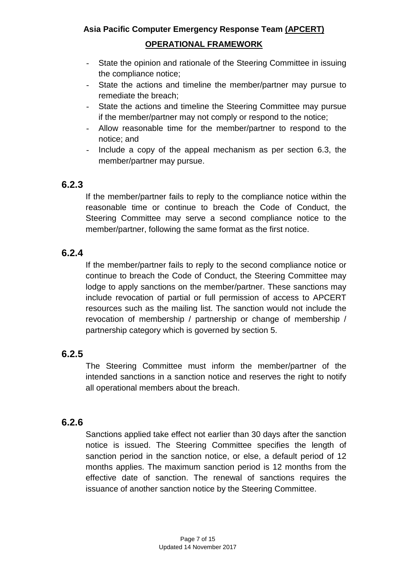- State the opinion and rationale of the Steering Committee in issuing the compliance notice;
- State the actions and timeline the member/partner may pursue to remediate the breach;
- State the actions and timeline the Steering Committee may pursue if the member/partner may not comply or respond to the notice;
- Allow reasonable time for the member/partner to respond to the notice; and
- Include a copy of the appeal mechanism as per section 6.3, the member/partner may pursue.

#### **6.2.3**

If the member/partner fails to reply to the compliance notice within the reasonable time or continue to breach the Code of Conduct, the Steering Committee may serve a second compliance notice to the member/partner, following the same format as the first notice.

### **6.2.4**

If the member/partner fails to reply to the second compliance notice or continue to breach the Code of Conduct, the Steering Committee may lodge to apply sanctions on the member/partner. These sanctions may include revocation of partial or full permission of access to APCERT resources such as the mailing list. The sanction would not include the revocation of membership / partnership or change of membership / partnership category which is governed by section 5.

### **6.2.5**

The Steering Committee must inform the member/partner of the intended sanctions in a sanction notice and reserves the right to notify all operational members about the breach.

### **6.2.6**

Sanctions applied take effect not earlier than 30 days after the sanction notice is issued. The Steering Committee specifies the length of sanction period in the sanction notice, or else, a default period of 12 months applies. The maximum sanction period is 12 months from the effective date of sanction. The renewal of sanctions requires the issuance of another sanction notice by the Steering Committee.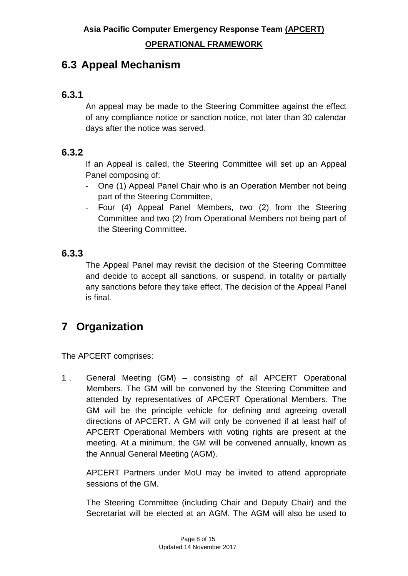## **6.3 Appeal Mechanism**

### **6.3.1**

An appeal may be made to the Steering Committee against the effect of any compliance notice or sanction notice, not later than 30 calendar days after the notice was served.

### **6.3.2**

If an Appeal is called, the Steering Committee will set up an Appeal Panel composing of:

- One (1) Appeal Panel Chair who is an Operation Member not being part of the Steering Committee,
- Four (4) Appeal Panel Members, two (2) from the Steering Committee and two (2) from Operational Members not being part of the Steering Committee.

### **6.3.3**

The Appeal Panel may revisit the decision of the Steering Committee and decide to accept all sanctions, or suspend, in totality or partially any sanctions before they take effect. The decision of the Appeal Panel is final.

# **7 Organization**

The APCERT comprises:

1. General Meeting (GM) – consisting of all APCERT Operational Members. The GM will be convened by the Steering Committee and attended by representatives of APCERT Operational Members. The GM will be the principle vehicle for defining and agreeing overall directions of APCERT. A GM will only be convened if at least half of APCERT Operational Members with voting rights are present at the meeting. At a minimum, the GM will be convened annually, known as the Annual General Meeting (AGM).

APCERT Partners under MoU may be invited to attend appropriate sessions of the GM.

The Steering Committee (including Chair and Deputy Chair) and the Secretariat will be elected at an AGM. The AGM will also be used to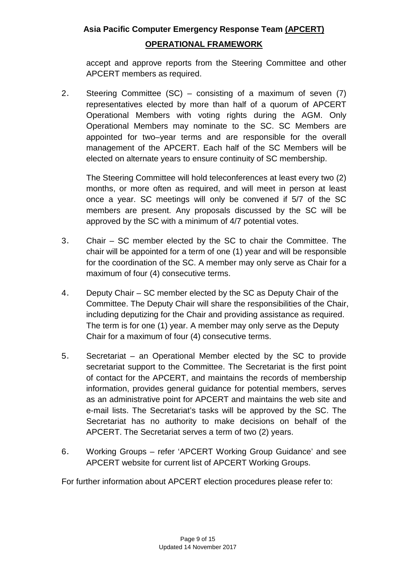#### **Asia Pacific Computer Emergency Response Team (APCERT)**

#### **OPERATIONAL FRAMEWORK**

accept and approve reports from the Steering Committee and other APCERT members as required.

2. Steering Committee (SC) – consisting of a maximum of seven (7) representatives elected by more than half of a quorum of APCERT Operational Members with voting rights during the AGM. Only Operational Members may nominate to the SC. SC Members are appointed for two–year terms and are responsible for the overall management of the APCERT. Each half of the SC Members will be elected on alternate years to ensure continuity of SC membership.

The Steering Committee will hold teleconferences at least every two (2) months, or more often as required, and will meet in person at least once a year. SC meetings will only be convened if 5/7 of the SC members are present. Any proposals discussed by the SC will be approved by the SC with a minimum of 4/7 potential votes.

- 3. Chair SC member elected by the SC to chair the Committee. The chair will be appointed for a term of one (1) year and will be responsible for the coordination of the SC. A member may only serve as Chair for a maximum of four (4) consecutive terms.
- 4. Deputy Chair SC member elected by the SC as Deputy Chair of the Committee. The Deputy Chair will share the responsibilities of the Chair, including deputizing for the Chair and providing assistance as required. The term is for one (1) year. A member may only serve as the Deputy Chair for a maximum of four (4) consecutive terms.
- 5. Secretariat an Operational Member elected by the SC to provide secretariat support to the Committee. The Secretariat is the first point of contact for the APCERT, and maintains the records of membership information, provides general guidance for potential members, serves as an administrative point for APCERT and maintains the web site and e-mail lists. The Secretariat's tasks will be approved by the SC. The Secretariat has no authority to make decisions on behalf of the APCERT. The Secretariat serves a term of two (2) years.
- 6. Working Groups refer 'APCERT Working Group Guidance' and see APCERT website for current list of APCERT Working Groups.

For further information about APCERT election procedures please refer to: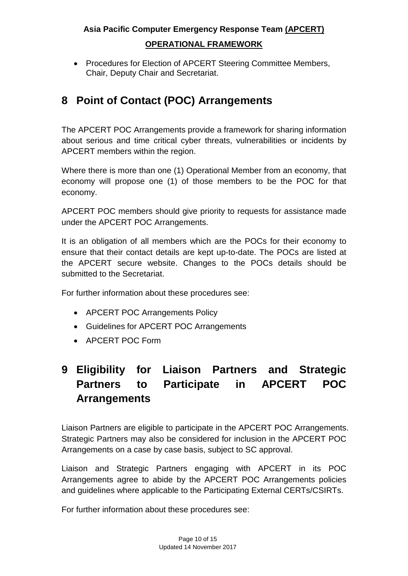• Procedures for Election of APCERT Steering Committee Members, Chair, Deputy Chair and Secretariat.

# **8 Point of Contact (POC) Arrangements**

The APCERT POC Arrangements provide a framework for sharing information about serious and time critical cyber threats, vulnerabilities or incidents by APCERT members within the region.

Where there is more than one (1) Operational Member from an economy, that economy will propose one (1) of those members to be the POC for that economy.

APCERT POC members should give priority to requests for assistance made under the APCERT POC Arrangements.

It is an obligation of all members which are the POCs for their economy to ensure that their contact details are kept up-to-date. The POCs are listed at the APCERT secure website. Changes to the POCs details should be submitted to the Secretariat.

For further information about these procedures see:

- APCERT POC Arrangements Policy
- Guidelines for APCERT POC Arrangements
- APCERT POC Form

# **9 Eligibility for Liaison Partners and Strategic Partners to Participate in APCERT POC Arrangements**

Liaison Partners are eligible to participate in the APCERT POC Arrangements. Strategic Partners may also be considered for inclusion in the APCERT POC Arrangements on a case by case basis, subject to SC approval.

Liaison and Strategic Partners engaging with APCERT in its POC Arrangements agree to abide by the APCERT POC Arrangements policies and guidelines where applicable to the Participating External CERTs/CSIRTs.

For further information about these procedures see: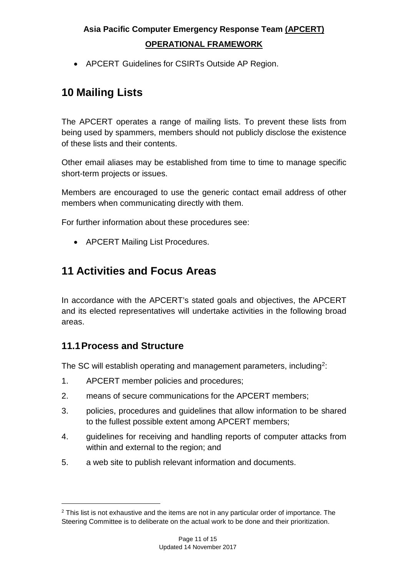• APCERT Guidelines for CSIRTs Outside AP Region.

## **10 Mailing Lists**

The APCERT operates a range of mailing lists. To prevent these lists from being used by spammers, members should not publicly disclose the existence of these lists and their contents.

Other email aliases may be established from time to time to manage specific short-term projects or issues.

Members are encouraged to use the generic contact email address of other members when communicating directly with them.

For further information about these procedures see:

• APCERT Mailing List Procedures.

### **11 Activities and Focus Areas**

In accordance with the APCERT's stated goals and objectives, the APCERT and its elected representatives will undertake activities in the following broad areas.

### **11.1Process and Structure**

The SC will establish operating and management parameters, including<sup>[2](#page-10-0)</sup>:

- 1. APCERT member policies and procedures;
- 2. means of secure communications for the APCERT members;
- 3. policies, procedures and guidelines that allow information to be shared to the fullest possible extent among APCERT members;
- 4. guidelines for receiving and handling reports of computer attacks from within and external to the region; and
- 5. a web site to publish relevant information and documents.

<span id="page-10-0"></span><sup>&</sup>lt;sup>2</sup> This list is not exhaustive and the items are not in any particular order of importance. The Steering Committee is to deliberate on the actual work to be done and their prioritization.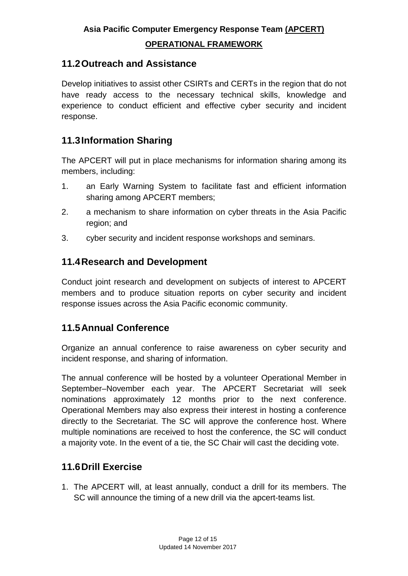#### **OPERATIONAL FRAMEWORK**

### **11.2Outreach and Assistance**

Develop initiatives to assist other CSIRTs and CERTs in the region that do not have ready access to the necessary technical skills, knowledge and experience to conduct efficient and effective cyber security and incident response.

### **11.3Information Sharing**

The APCERT will put in place mechanisms for information sharing among its members, including:

- 1. an Early Warning System to facilitate fast and efficient information sharing among APCERT members;
- 2. a mechanism to share information on cyber threats in the Asia Pacific region; and
- 3. cyber security and incident response workshops and seminars.

#### **11.4Research and Development**

Conduct joint research and development on subjects of interest to APCERT members and to produce situation reports on cyber security and incident response issues across the Asia Pacific economic community.

### **11.5Annual Conference**

Organize an annual conference to raise awareness on cyber security and incident response, and sharing of information.

The annual conference will be hosted by a volunteer Operational Member in September–November each year. The APCERT Secretariat will seek nominations approximately 12 months prior to the next conference. Operational Members may also express their interest in hosting a conference directly to the Secretariat. The SC will approve the conference host. Where multiple nominations are received to host the conference, the SC will conduct a majority vote. In the event of a tie, the SC Chair will cast the deciding vote.

### **11.6Drill Exercise**

1. The APCERT will, at least annually, conduct a drill for its members. The SC will announce the timing of a new drill via the apcert-teams list.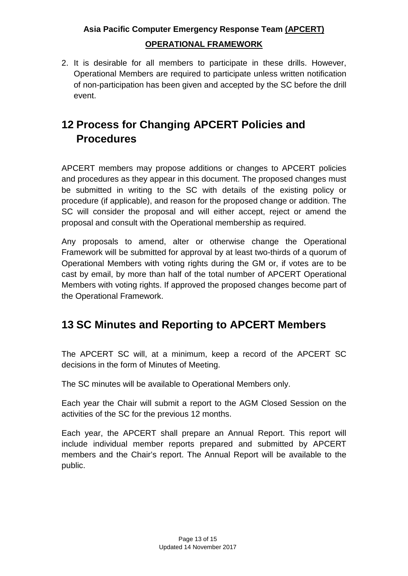2. It is desirable for all members to participate in these drills. However, Operational Members are required to participate unless written notification of non-participation has been given and accepted by the SC before the drill event.

# **12 Process for Changing APCERT Policies and Procedures**

APCERT members may propose additions or changes to APCERT policies and procedures as they appear in this document. The proposed changes must be submitted in writing to the SC with details of the existing policy or procedure (if applicable), and reason for the proposed change or addition. The SC will consider the proposal and will either accept, reject or amend the proposal and consult with the Operational membership as required.

Any proposals to amend, alter or otherwise change the Operational Framework will be submitted for approval by at least two-thirds of a quorum of Operational Members with voting rights during the GM or, if votes are to be cast by email, by more than half of the total number of APCERT Operational Members with voting rights. If approved the proposed changes become part of the Operational Framework.

# **13 SC Minutes and Reporting to APCERT Members**

The APCERT SC will, at a minimum, keep a record of the APCERT SC decisions in the form of Minutes of Meeting.

The SC minutes will be available to Operational Members only.

Each year the Chair will submit a report to the AGM Closed Session on the activities of the SC for the previous 12 months.

Each year, the APCERT shall prepare an Annual Report. This report will include individual member reports prepared and submitted by APCERT members and the Chair's report. The Annual Report will be available to the public.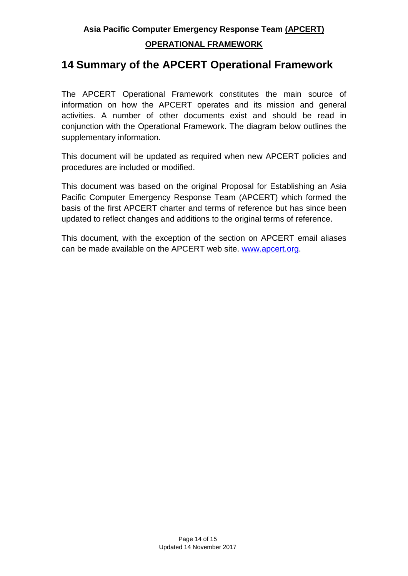### **14 Summary of the APCERT Operational Framework**

The APCERT Operational Framework constitutes the main source of information on how the APCERT operates and its mission and general activities. A number of other documents exist and should be read in conjunction with the Operational Framework. The diagram below outlines the supplementary information.

This document will be updated as required when new APCERT policies and procedures are included or modified.

This document was based on the original Proposal for Establishing an Asia Pacific Computer Emergency Response Team (APCERT) which formed the basis of the first APCERT charter and terms of reference but has since been updated to reflect changes and additions to the original terms of reference.

This document, with the exception of the section on APCERT email aliases can be made available on the APCERT web site. [www.apcert.org.](http://www.apcert.org/)